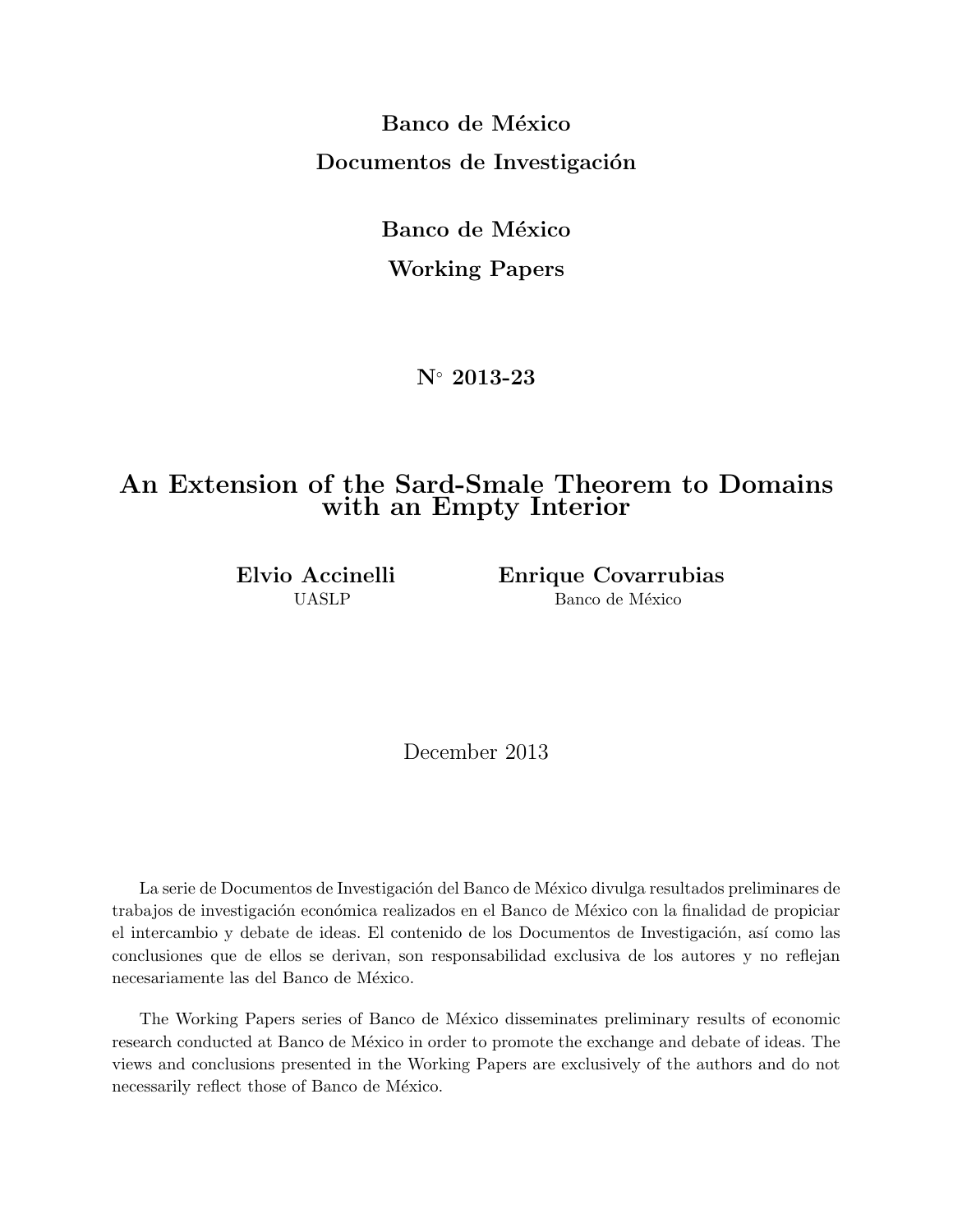**Banco de México Documentos de Investigación** 

> **Banco de México Working Papers**

> > **N***◦* **2013-23**

## **An Extension of the Sard-Smale Theorem to Domains with an Empty Interior**

**Elvio Accinelli Enrique Covarrubias** UASLP Banco de México

December 2013

La serie de Documentos de Investigación del Banco de México divulga resultados preliminares de trabajos de investigación económica realizados en el Banco de México con la finalidad de propiciar el intercambio y debate de ideas. El contenido de los Documentos de Investigación, así como las conclusiones que de ellos se derivan, son responsabilidad exclusiva de los autores y no reflejan necesariamente las del Banco de México.

The Working Papers series of Banco de México disseminates preliminary results of economic research conducted at Banco de México in order to promote the exchange and debate of ideas. The views and conclusions presented in the Working Papers are exclusively of the authors and do not necessarily reflect those of Banco de México.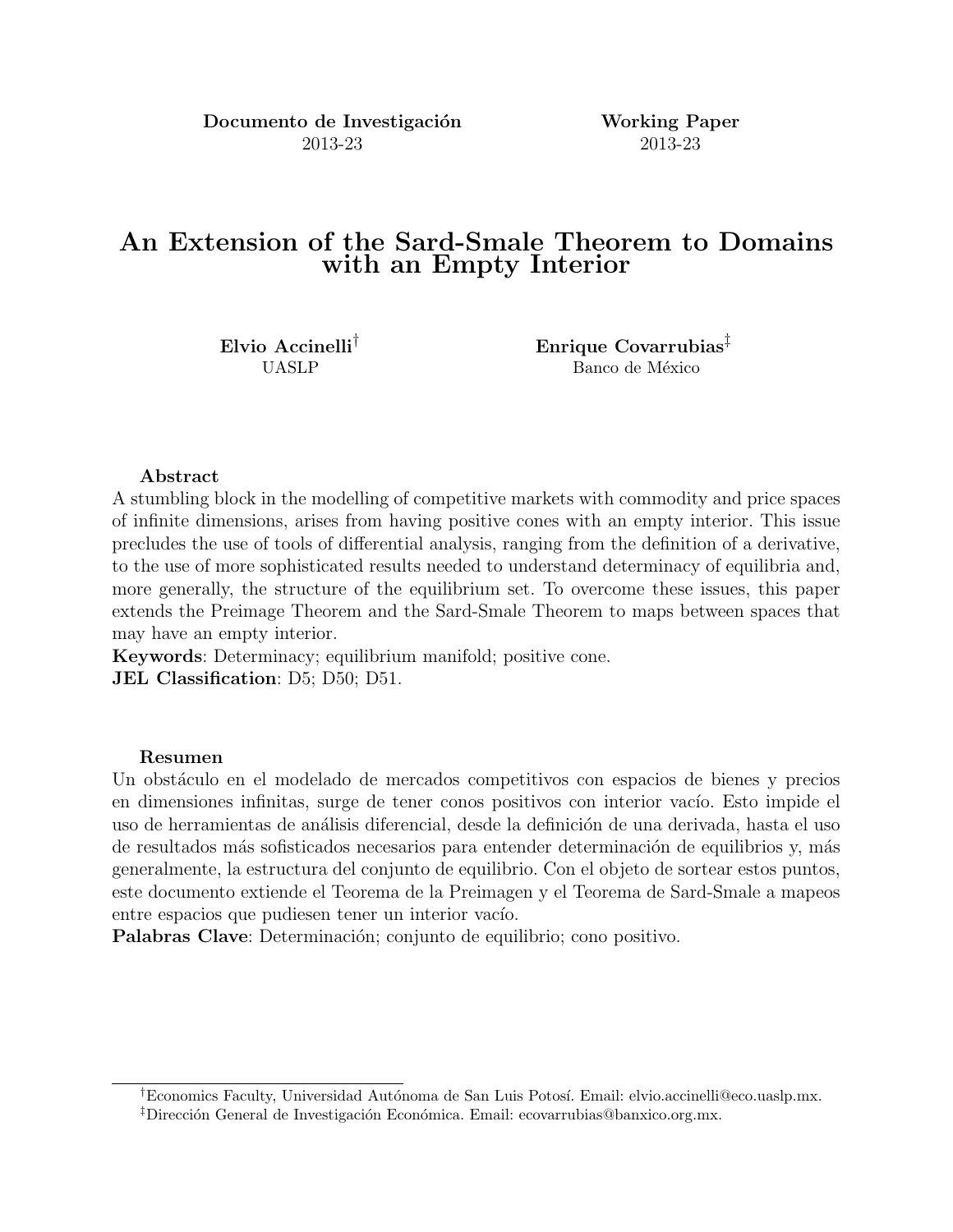**Documento de Investigación Working Paper** 2013-23 2013-23

## **An Extension of the Sard-Smale Theorem to Domains with an Empty Interior**

**Elvio Accinelli***†* **Enrique Covarrubias***‡* UASLP Banco de México

#### **Abstract**

A stumbling block in the modelling of competitive markets with commodity and price spaces of infinite dimensions, arises from having positive cones with an empty interior. This issue precludes the use of tools of differential analysis, ranging from the definition of a derivative, to the use of more sophisticated results needed to understand determinacy of equilibria and, more generally, the structure of the equilibrium set. To overcome these issues, this paper extends the Preimage Theorem and the Sard-Smale Theorem to maps between spaces that may have an empty interior.

**Keywords**: Determinacy; equilibrium manifold; positive cone. **JEL Classification**: D5; D50; D51.

#### **Resumen**

Un obstáculo en el modelado de mercados competitivos con espacios de bienes y precios en dimensiones infinitas, surge de tener conos positivos con interior vacío. Esto impide el uso de herramientas de análisis diferencial, desde la definición de una derivada, hasta el uso de resultados más sofisticados necesarios para entender determinación de equilibrios y, más generalmente, la estructura del conjunto de equilibrio. Con el objeto de sortear estos puntos, este documento extiende el Teorema de la Preimagen y el Teorema de Sard-Smale a mapeos entre espacios que pudiesen tener un interior vacío.

**Palabras Clave**: Determinación; conjunto de equilibrio; cono positivo.

<sup>&</sup>lt;sup>†</sup>Economics Faculty, Universidad Autónoma de San Luis Potosí. Email: elvio.accinelli@eco.uaslp.mx. <sup>‡</sup>Dirección General de Investigación Económica. Email: ecovarrubias@banxico.org.mx.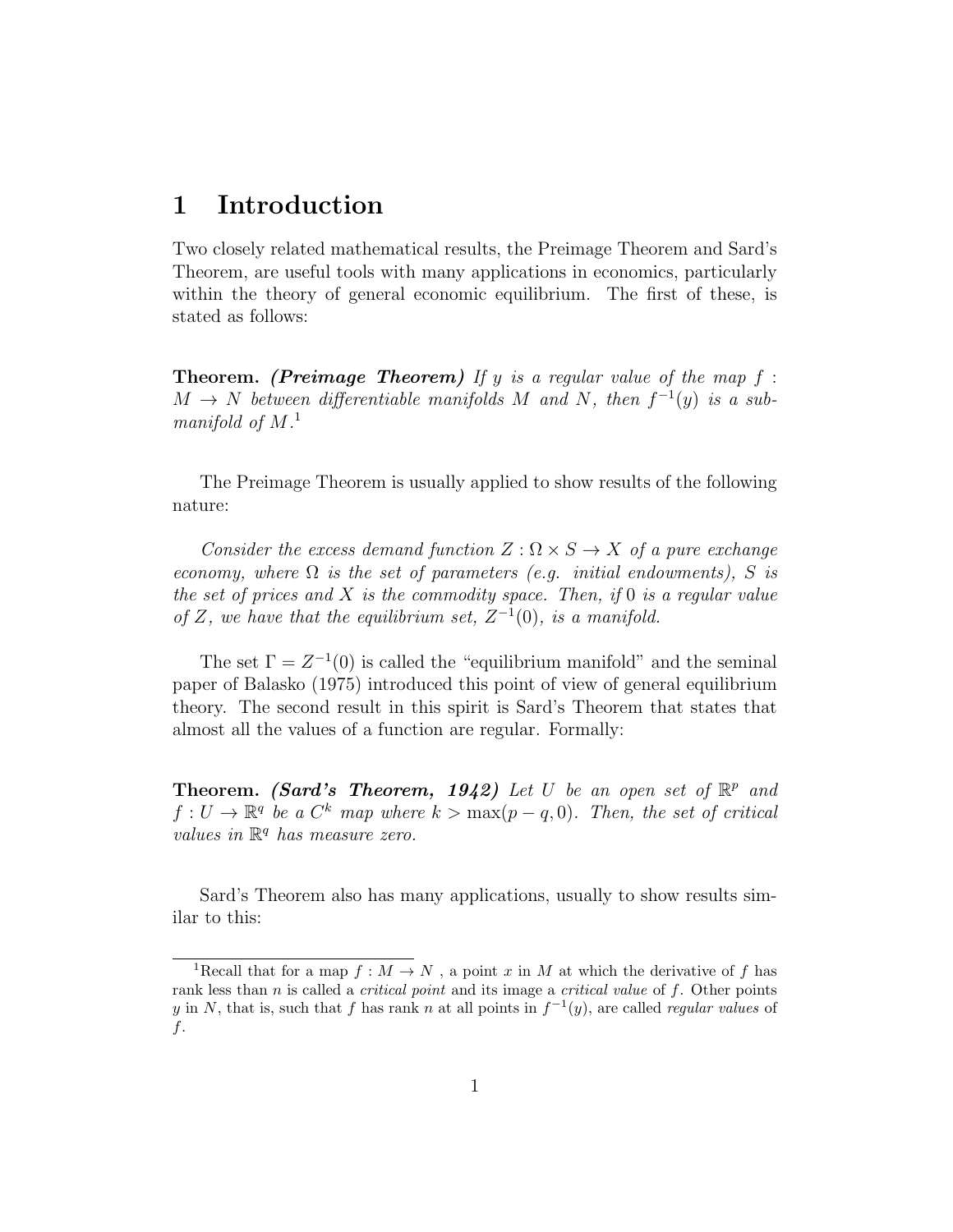## 1 Introduction

Two closely related mathematical results, the Preimage Theorem and Sard's Theorem, are useful tools with many applications in economics, particularly within the theory of general economic equilibrium. The first of these, is stated as follows:

**Theorem.** (Preimage Theorem) If y is a regular value of the map  $f$ :  $M \rightarrow N$  between differentiable manifolds M and N, then  $f^{-1}(y)$  is a submanifold of  $M$ <sup>1</sup>

The Preimage Theorem is usually applied to show results of the following nature:

Consider the excess demand function  $Z : \Omega \times S \to X$  of a pure exchange economy, where  $\Omega$  is the set of parameters (e.g. initial endowments), S is the set of prices and  $X$  is the commodity space. Then, if  $0$  is a regular value of Z, we have that the equilibrium set,  $Z^{-1}(0)$ , is a manifold.

The set  $\Gamma = Z^{-1}(0)$  is called the "equilibrium manifold" and the seminal paper of Balasko (1975) introduced this point of view of general equilibrium theory. The second result in this spirit is Sard's Theorem that states that almost all the values of a function are regular. Formally:

**Theorem.** (Sard's Theorem, 1942) Let U be an open set of  $\mathbb{R}^p$  and  $f: U \to \mathbb{R}^q$  be a  $C^k$  map where  $k > \max(p-q, 0)$ . Then, the set of critical values in  $\mathbb{R}^q$  has measure zero.

Sard's Theorem also has many applications, usually to show results similar to this:

<sup>&</sup>lt;sup>1</sup>Recall that for a map  $f : M \to N$ , a point x in M at which the derivative of f has rank less than  $n$  is called a *critical point* and its image a *critical value* of  $f$ . Other points y in N, that is, such that f has rank n at all points in  $f^{-1}(y)$ , are called regular values of f.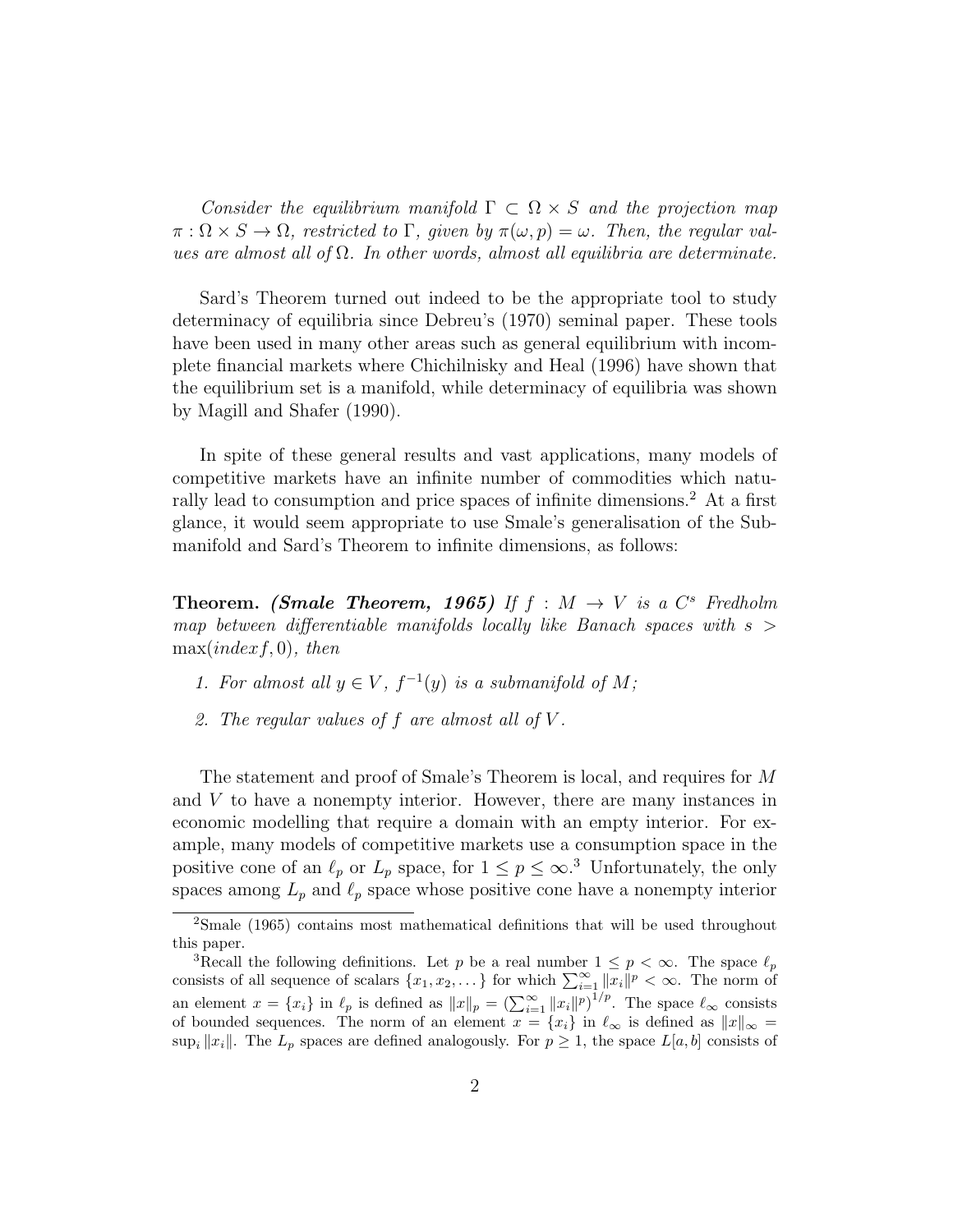Consider the equilibrium manifold  $\Gamma \subset \Omega \times S$  and the projection map  $\pi : \Omega \times S \to \Omega$ , restricted to  $\Gamma$ , given by  $\pi(\omega, p) = \omega$ . Then, the regular values are almost all of  $\Omega$ . In other words, almost all equilibria are determinate.

Sard's Theorem turned out indeed to be the appropriate tool to study determinacy of equilibria since Debreu's (1970) seminal paper. These tools have been used in many other areas such as general equilibrium with incomplete financial markets where Chichilnisky and Heal (1996) have shown that the equilibrium set is a manifold, while determinacy of equilibria was shown by Magill and Shafer (1990).

In spite of these general results and vast applications, many models of competitive markets have an infinite number of commodities which naturally lead to consumption and price spaces of infinite dimensions.<sup>2</sup> At a first glance, it would seem appropriate to use Smale's generalisation of the Submanifold and Sard's Theorem to infinite dimensions, as follows:

**Theorem.** (Smale Theorem, 1965) If  $f : M \rightarrow V$  is a  $C^s$  Fredholm map between differentiable manifolds locally like Banach spaces with  $s >$  $max/index f, 0), then$ 

- 1. For almost all  $y \in V$ ,  $f^{-1}(y)$  is a submanifold of M;
- 2. The regular values of  $f$  are almost all of  $V$ .

The statement and proof of Smale's Theorem is local, and requires for M and V to have a nonempty interior. However, there are many instances in economic modelling that require a domain with an empty interior. For example, many models of competitive markets use a consumption space in the positive cone of an  $\ell_p$  or  $L_p$  space, for  $1 \leq p \leq \infty$ .<sup>3</sup> Unfortunately, the only spaces among  $L_p$  and  $\ell_p$  space whose positive cone have a nonempty interior

<sup>2</sup>Smale (1965) contains most mathematical definitions that will be used throughout this paper.

<sup>&</sup>lt;sup>3</sup>Recall the following definitions. Let p be a real number  $1 \leq p < \infty$ . The space  $\ell_p$ consists of all sequence of scalars  $\{x_1, x_2, \ldots\}$  for which  $\sum_{i=1}^{\infty} ||x_i||^p < \infty$ . The norm of an element  $x = \{x_i\}$  in  $\ell_p$  is defined as  $||x||_p = \left(\sum_{i=1}^{\infty} ||x_i||^p\right)^{1/p}$ . The space  $\ell_{\infty}$  consists of bounded sequences. The norm of an element  $x = \{x_i\}$  in  $\ell_{\infty}$  is defined as  $||x||_{\infty} =$ sup<sub>i</sub>  $||x_i||$ . The  $L_p$  spaces are defined analogously. For  $p \ge 1$ , the space  $L[a, b]$  consists of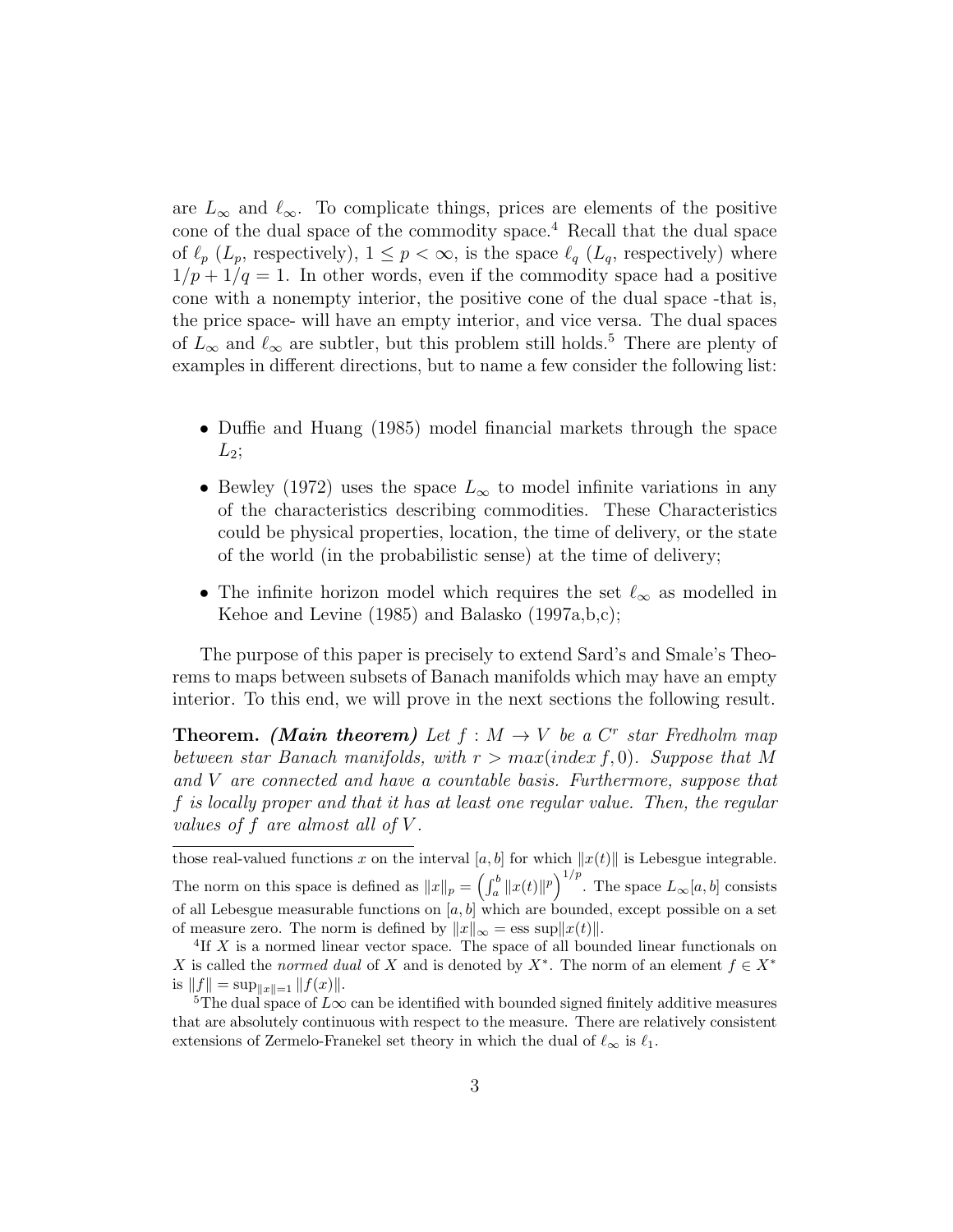are  $L_{\infty}$  and  $\ell_{\infty}$ . To complicate things, prices are elements of the positive cone of the dual space of the commodity space.<sup>4</sup> Recall that the dual space of  $\ell_p$  ( $L_p$ , respectively),  $1 \leq p < \infty$ , is the space  $\ell_q$  ( $L_q$ , respectively) where  $1/p + 1/q = 1$ . In other words, even if the commodity space had a positive cone with a nonempty interior, the positive cone of the dual space -that is, the price space- will have an empty interior, and vice versa. The dual spaces of  $L_{\infty}$  and  $\ell_{\infty}$  are subtler, but this problem still holds.<sup>5</sup> There are plenty of examples in different directions, but to name a few consider the following list:

- Duffie and Huang (1985) model financial markets through the space  $L_2;$
- Bewley (1972) uses the space  $L_{\infty}$  to model infinite variations in any of the characteristics describing commodities. These Characteristics could be physical properties, location, the time of delivery, or the state of the world (in the probabilistic sense) at the time of delivery;
- The infinite horizon model which requires the set  $\ell_{\infty}$  as modelled in Kehoe and Levine (1985) and Balasko (1997a,b,c);

The purpose of this paper is precisely to extend Sard's and Smale's Theorems to maps between subsets of Banach manifolds which may have an empty interior. To this end, we will prove in the next sections the following result.

**Theorem.** (Main theorem) Let  $f : M \to V$  be a  $C^r$  star Fredholm map between star Banach manifolds, with  $r > max(index f, 0)$ . Suppose that M and V are connected and have a countable basis. Furthermore, suppose that f is locally proper and that it has at least one regular value. Then, the regular values of f are almost all of  $V$ .

those real-valued functions x on the interval [a, b] for which  $||x(t)||$  is Lebesgue integrable. The norm on this space is defined as  $||x||_p = \left(\int_a^b ||x(t)||^p\right)^{1/p}$ . The space  $L_\infty[a, b]$  consists of all Lebesgue measurable functions on [a, b] which are bounded, except possible on a set of measure zero. The norm is defined by  $||x||_{\infty} = \text{ess sup} ||x(t)||$ .

<sup>&</sup>lt;sup>4</sup>If X is a normed linear vector space. The space of all bounded linear functionals on X is called the normed dual of X and is denoted by  $X^*$ . The norm of an element  $f \in X^*$ is  $||f|| = \sup_{||x||=1} ||f(x)||.$ 

<sup>&</sup>lt;sup>5</sup>The dual space of  $L\infty$  can be identified with bounded signed finitely additive measures that are absolutely continuous with respect to the measure. There are relatively consistent extensions of Zermelo-Franekel set theory in which the dual of  $\ell_{\infty}$  is  $\ell_1$ .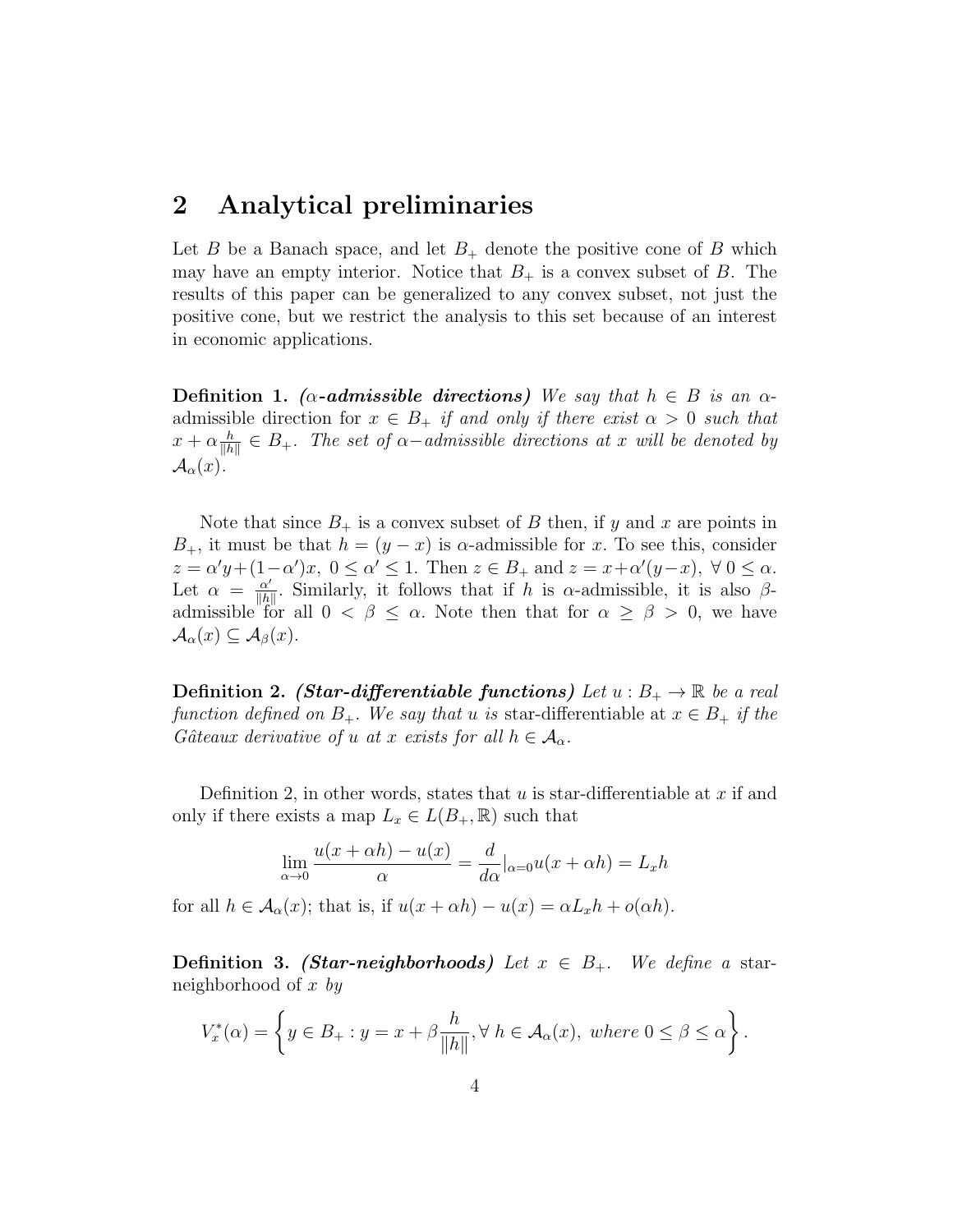#### 2 Analytical preliminaries

Let B be a Banach space, and let  $B_+$  denote the positive cone of B which may have an empty interior. Notice that  $B_+$  is a convex subset of B. The results of this paper can be generalized to any convex subset, not just the positive cone, but we restrict the analysis to this set because of an interest in economic applications.

Definition 1. ( $\alpha$ -admissible directions) We say that  $h \in B$  is an  $\alpha$ admissible direction for  $x \in B_+$  if and only if there exist  $\alpha > 0$  such that  $x + \alpha \frac{h}{\|h}$  $\frac{h}{\|h\|} \in B_+$ . The set of  $\alpha$ -admissible directions at x will be denoted by  $\mathcal{A}_{\alpha}(x)$ .

Note that since  $B_+$  is a convex subset of B then, if y and x are points in  $B_+$ , it must be that  $h = (y - x)$  is  $\alpha$ -admissible for x. To see this, consider  $z = \alpha' y + (1 - \alpha') x, \ 0 \leq \alpha' \leq 1.$  Then  $z \in B_+$  and  $z = x + \alpha' (y - x), \ \forall \ 0 \leq \alpha.$ Let  $\alpha = \frac{\alpha'}{\|b\|}$  $\frac{\alpha'}{\|h\|}$ . Similarly, it follows that if h is  $\alpha$ -admissible, it is also  $\beta$ admissible for all  $0 < \beta \leq \alpha$ . Note then that for  $\alpha \geq \beta > 0$ , we have  $\mathcal{A}_{\alpha}(x) \subseteq \mathcal{A}_{\beta}(x)$ .

**Definition 2.** (Star-differentiable functions) Let  $u : B_+ \to \mathbb{R}$  be a real function defined on  $B_+$ . We say that u is star-differentiable at  $x \in B_+$  if the Gâteaux derivative of u at x exists for all  $h \in \mathcal{A}_{\alpha}$ .

Definition 2, in other words, states that  $u$  is star-differentiable at  $x$  if and only if there exists a map  $L_x \in L(B_+, \mathbb{R})$  such that

$$
\lim_{\alpha \to 0} \frac{u(x + \alpha h) - u(x)}{\alpha} = \frac{d}{d\alpha} |_{\alpha = 0} u(x + \alpha h) = L_x h
$$

for all  $h \in \mathcal{A}_{\alpha}(x)$ ; that is, if  $u(x + \alpha h) - u(x) = \alpha L_x h + o(\alpha h)$ .

**Definition 3.** (Star-neighborhoods) Let  $x \in B_+$ . We define a starneighborhood of x by

$$
V_x^*(\alpha) = \left\{ y \in B_+ : y = x + \beta \frac{h}{\|h\|}, \forall \ h \in \mathcal{A}_{\alpha}(x), \ where \ 0 \le \beta \le \alpha \right\}.
$$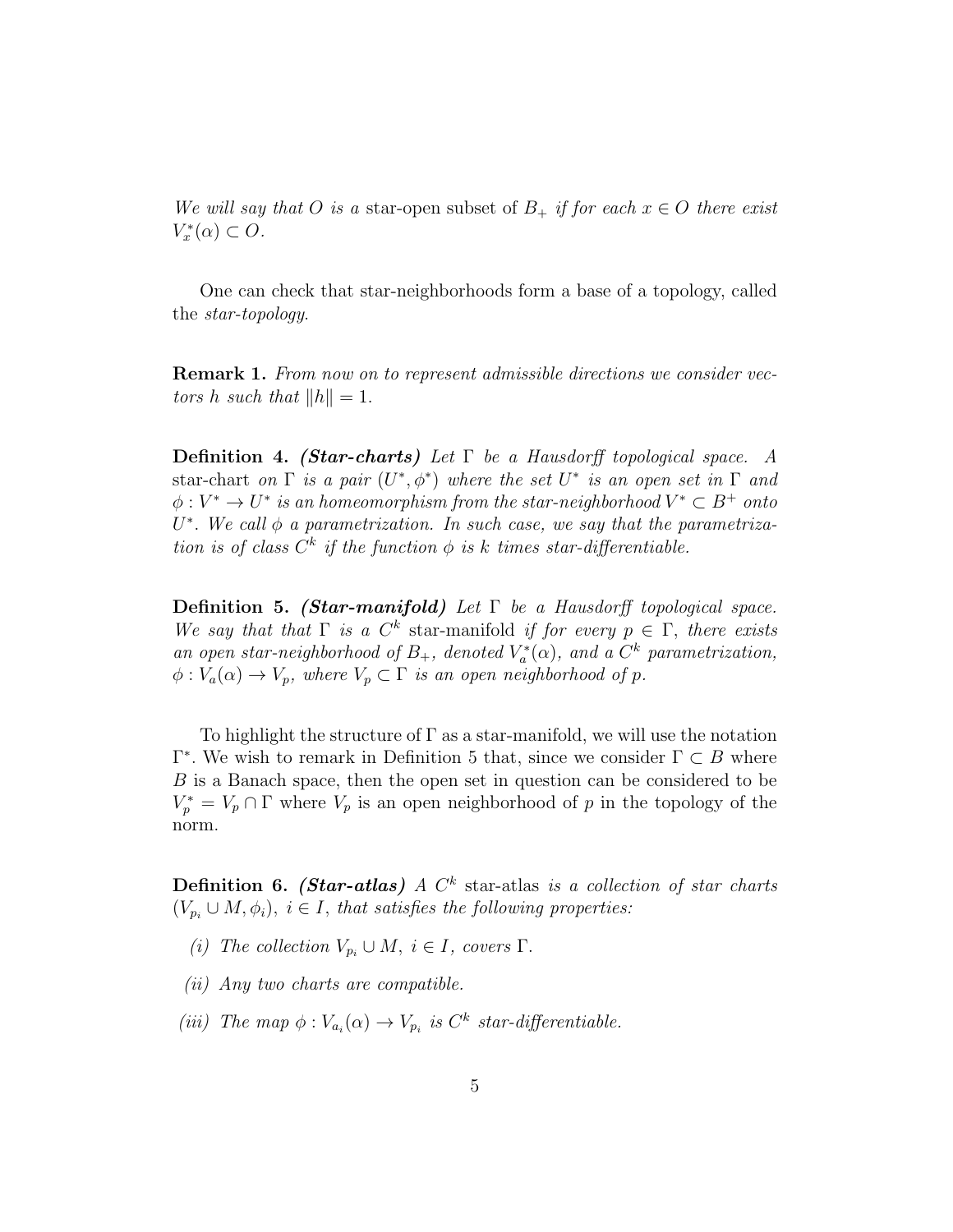We will say that O is a star-open subset of  $B_+$  if for each  $x \in O$  there exist  $V_x^*(\alpha) \subset O.$ 

One can check that star-neighborhoods form a base of a topology, called the star-topology.

Remark 1. From now on to represent admissible directions we consider vectors h such that  $||h|| = 1$ .

**Definition 4. (Star-charts)** Let  $\Gamma$  be a Hausdorff topological space. A star-chart on  $\Gamma$  is a pair  $(U^*,\phi^*)$  where the set  $U^*$  is an open set in  $\Gamma$  and  $\phi: V^* \to U^*$  is an homeomorphism from the star-neighborhood  $V^* \subset B^+$  onto  $U^*$ . We call  $\phi$  a parametrization. In such case, we say that the parametrization is of class  $C^k$  if the function  $\phi$  is k times star-differentiable.

**Definition 5.** (Star-manifold) Let  $\Gamma$  be a Hausdorff topological space. We say that that  $\Gamma$  is a  $C^k$  star-manifold if for every  $p \in \Gamma$ , there exists an open star-neighborhood of  $B_+$ , denoted  $V_a^*(\alpha)$ , and a  $C^k$  parametrization,  $\phi: V_a(\alpha) \to V_p$ , where  $V_p \subset \Gamma$  is an open neighborhood of p.

To highlight the structure of  $\Gamma$  as a star-manifold, we will use the notation  $Γ^*$ . We wish to remark in Definition 5 that, since we consider  $Γ ⊂ B$  where B is a Banach space, then the open set in question can be considered to be  $V_p^* = V_p \cap \Gamma$  where  $V_p$  is an open neighborhood of p in the topology of the norm.

**Definition 6.** (Star-atlas) A  $C<sup>k</sup>$  star-atlas is a collection of star charts  $(V_{p_i} \cup M, \phi_i), i \in I$ , that satisfies the following properties:

- (i) The collection  $V_{p_i} \cup M$ ,  $i \in I$ , covers  $\Gamma$ .
- (ii) Any two charts are compatible.
- (iii) The map  $\phi: V_{a_i}(\alpha) \to V_{p_i}$  is  $C^k$  star-differentiable.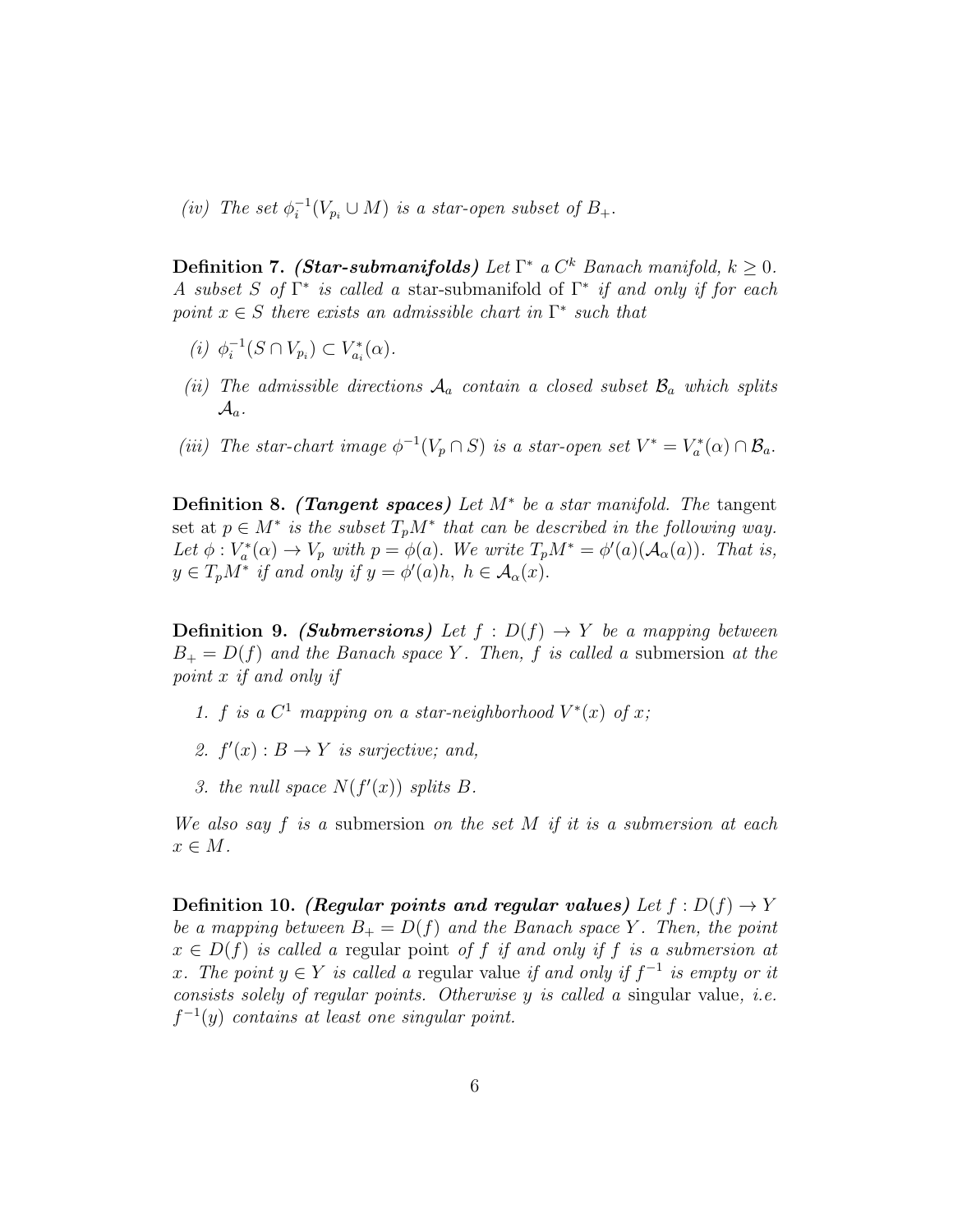(iv) The set  $\phi_i^{-1}$  $i^{-1}(V_{p_i} \cup M)$  is a star-open subset of  $B_+.$ 

**Definition 7.** (Star-submanifolds) Let  $\Gamma^*$  a  $C^k$  Banach manifold,  $k \geq 0$ . A subset S of  $\Gamma^*$  is called a star-submanifold of  $\Gamma^*$  if and only if for each point  $x \in S$  there exists an admissible chart in  $\Gamma^*$  such that

- (*i*)  $\phi_i^{-1}$  $i^{-1}(S \cap V_{p_i}) \subset V_{a_i}^*(\alpha).$
- (ii) The admissible directions  $A_a$  contain a closed subset  $B_a$  which splits  $\mathcal{A}_a$ .
- (iii) The star-chart image  $\phi^{-1}(V_p \cap S)$  is a star-open set  $V^* = V_a^*(\alpha) \cap \mathcal{B}_a$ .

Definition 8. (Tangent spaces) Let  $M^*$  be a star manifold. The tangent set at  $p \in M^*$  is the subset  $T_pM^*$  that can be described in the following way. Let  $\phi: V_a^*(\alpha) \to V_p$  with  $p = \phi(a)$ . We write  $T_pM^* = \phi'(a)(\mathcal{A}_\alpha(a))$ . That is,  $y \in T_p M^*$  if and only if  $y = \phi'(a)h$ ,  $h \in \mathcal{A}_{\alpha}(x)$ .

**Definition 9.** (Submersions) Let  $f : D(f) \rightarrow Y$  be a mapping between  $B_+ = D(f)$  and the Banach space Y. Then, f is called a submersion at the point x if and only if

- 1. f is a  $C^1$  mapping on a star-neighborhood  $V^*(x)$  of x;
- 2.  $f'(x): B \to Y$  is surjective; and,
- 3. the null space  $N(f'(x))$  splits B.

We also say f is a submersion on the set M if it is a submersion at each  $x \in M$ .

Definition 10. (Regular points and regular values) Let  $f: D(f) \to Y$ be a mapping between  $B_+ = D(f)$  and the Banach space Y. Then, the point  $x \in D(f)$  is called a regular point of f if and only if f is a submersion at x. The point  $y \in Y$  is called a regular value if and only if  $f^{-1}$  is empty or it consists solely of regular points. Otherwise  $y$  is called a singular value, *i.e.*  $f^{-1}(y)$  contains at least one singular point.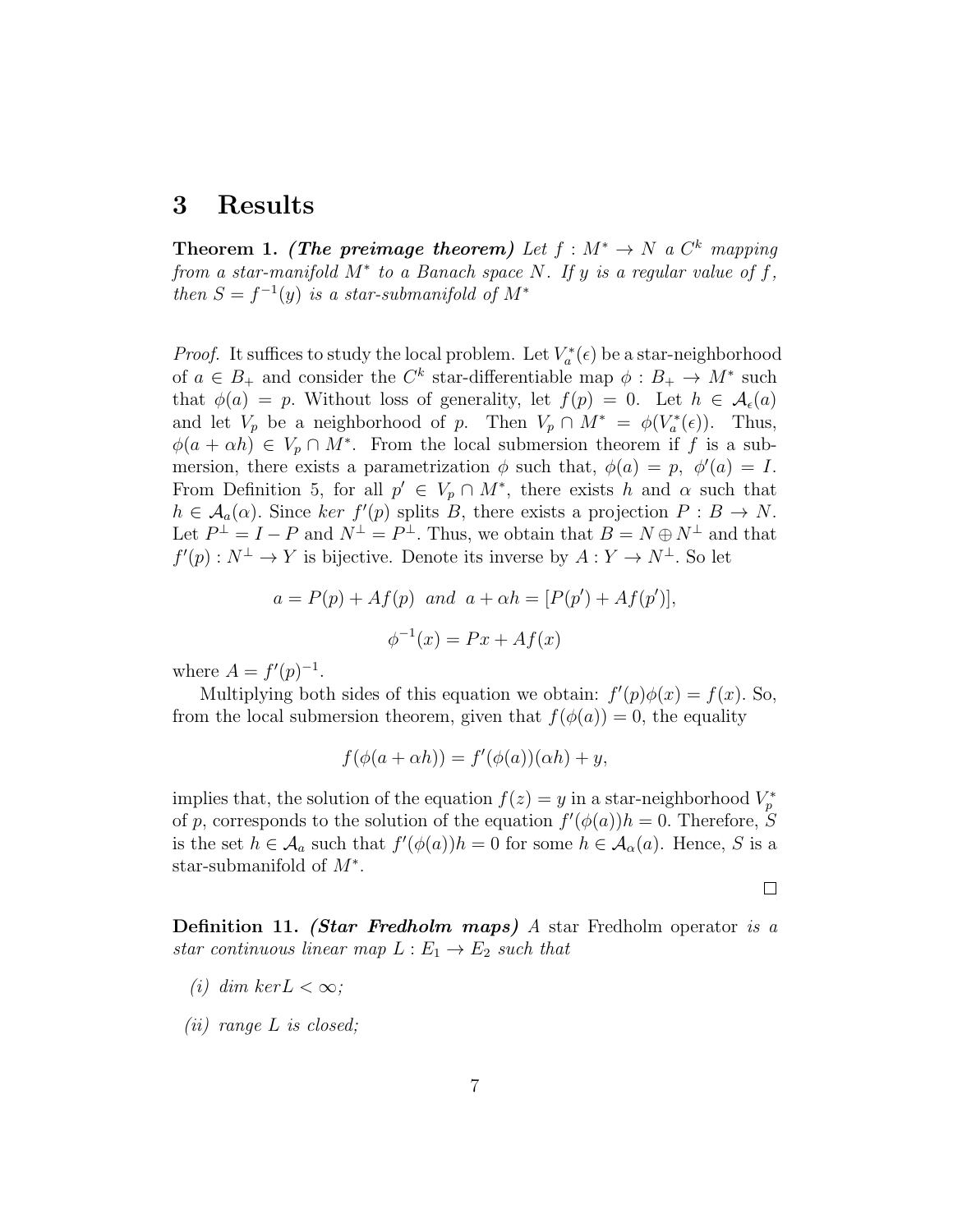## 3 Results

Theorem 1. (The preimage theorem) Let  $f : M^* \to N$  a  $C^k$  mapping from a star-manifold  $M^*$  to a Banach space N. If y is a regular value of f, then  $S = f^{-1}(y)$  is a star-submanifold of  $M^*$ 

*Proof.* It suffices to study the local problem. Let  $V_a^*(\epsilon)$  be a star-neighborhood of  $a \in B_+$  and consider the  $C^k$  star-differentiable map  $\phi : B_+ \to M^*$  such that  $\phi(a) = p$ . Without loss of generality, let  $f(p) = 0$ . Let  $h \in \mathcal{A}_{\epsilon}(a)$ and let  $V_p$  be a neighborhood of p. Then  $V_p \cap M^* = \phi(V_a^*(\epsilon))$ . Thus,  $\phi(a + \alpha h) \in V_p \cap M^*$ . From the local submersion theorem if f is a submersion, there exists a parametrization  $\phi$  such that,  $\phi(a) = p$ ,  $\phi'(a) = I$ . From Definition 5, for all  $p' \in V_p \cap M^*$ , there exists h and  $\alpha$  such that  $h \in \mathcal{A}_a(\alpha)$ . Since ker  $f'(p)$  splits B, there exists a projection  $P : B \to N$ . Let  $P^{\perp} = I - P$  and  $N^{\perp} = P^{\perp}$ . Thus, we obtain that  $B = N \oplus N^{\perp}$  and that  $f'(p) : N^{\perp} \to Y$  is bijective. Denote its inverse by  $A: Y \to N^{\perp}$ . So let

$$
a = P(p) + Af(p)
$$
 and  $a + \alpha h = [P(p') + Af(p')],$   
 $\phi^{-1}(x) = Px + Af(x)$ 

where  $A = f'(p)^{-1}$ .

Multiplying both sides of this equation we obtain:  $f'(p)\phi(x) = f(x)$ . So, from the local submersion theorem, given that  $f(\phi(a)) = 0$ , the equality

$$
f(\phi(a + \alpha h)) = f'(\phi(a))(\alpha h) + y,
$$

implies that, the solution of the equation  $f(z) = y$  in a star-neighborhood  $V_p^*$ of p, corresponds to the solution of the equation  $f'(\phi(a))h = 0$ . Therefore, S is the set  $h \in \mathcal{A}_a$  such that  $f'(\phi(a))h = 0$  for some  $h \in \mathcal{A}_\alpha(a)$ . Hence, S is a star-submanifold of  $M^*$ .

 $\Box$ 

Definition 11. (Star Fredholm maps) A star Fredholm operator is a star continuous linear map  $L : E_1 \to E_2$  such that

- (i) dim ker $L < \infty$ ;
- (ii) range L is closed;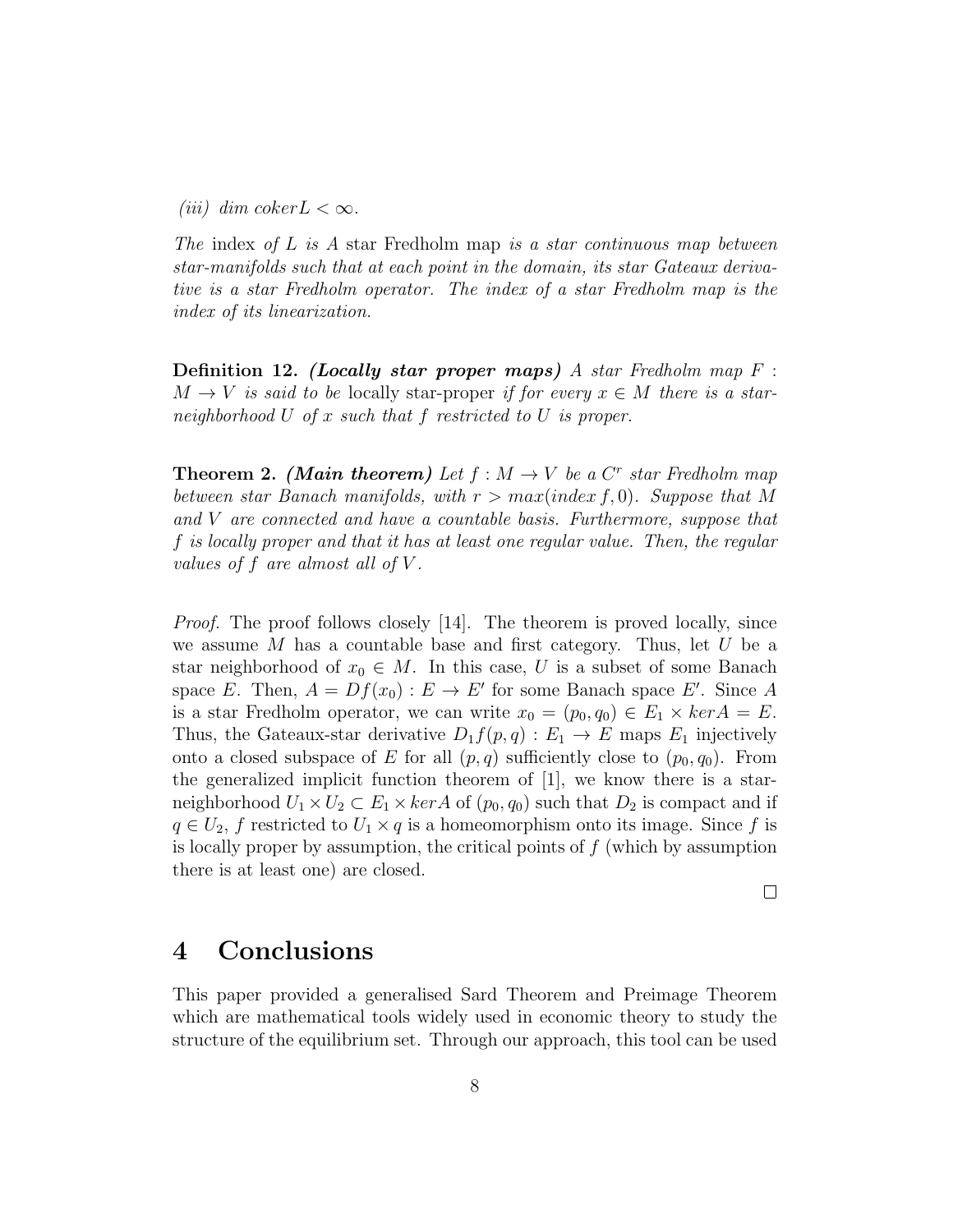(*iii*) dim coker  $L < \infty$ .

The index of L is A star Fredholm map is a star continuous map between star-manifolds such that at each point in the domain, its star Gateaux derivative is a star Fredholm operator. The index of a star Fredholm map is the index of its linearization.

**Definition 12.** (Locally star proper maps) A star Fredholm map  $F$ :  $M \to V$  is said to be locally star-proper if for every  $x \in M$  there is a starneighborhood U of x such that f restricted to U is proper.

**Theorem 2.** (Main theorem) Let  $f : M \to V$  be a  $C^r$  star Fredholm map between star Banach manifolds, with  $r > max(index f, 0)$ . Suppose that M and V are connected and have a countable basis. Furthermore, suppose that f is locally proper and that it has at least one regular value. Then, the regular values of  $f$  are almost all of  $V$ .

*Proof.* The proof follows closely [14]. The theorem is proved locally, since we assume  $M$  has a countable base and first category. Thus, let  $U$  be a star neighborhood of  $x_0 \in M$ . In this case, U is a subset of some Banach space E. Then,  $A = Df(x_0) : E \to E'$  for some Banach space E'. Since A is a star Fredholm operator, we can write  $x_0 = (p_0, q_0) \in E_1 \times \text{ker } A = E$ . Thus, the Gateaux-star derivative  $D_1 f(p,q) : E_1 \to E$  maps  $E_1$  injectively onto a closed subspace of E for all  $(p, q)$  sufficiently close to  $(p_0, q_0)$ . From the generalized implicit function theorem of [1], we know there is a starneighborhood  $U_1 \times U_2 \subset E_1 \times \ker A$  of  $(p_0, q_0)$  such that  $D_2$  is compact and if  $q \in U_2$ , f restricted to  $U_1 \times q$  is a homeomorphism onto its image. Since f is is locally proper by assumption, the critical points of  $f$  (which by assumption there is at least one) are closed.

 $\Box$ 

# 4 Conclusions

This paper provided a generalised Sard Theorem and Preimage Theorem which are mathematical tools widely used in economic theory to study the structure of the equilibrium set. Through our approach, this tool can be used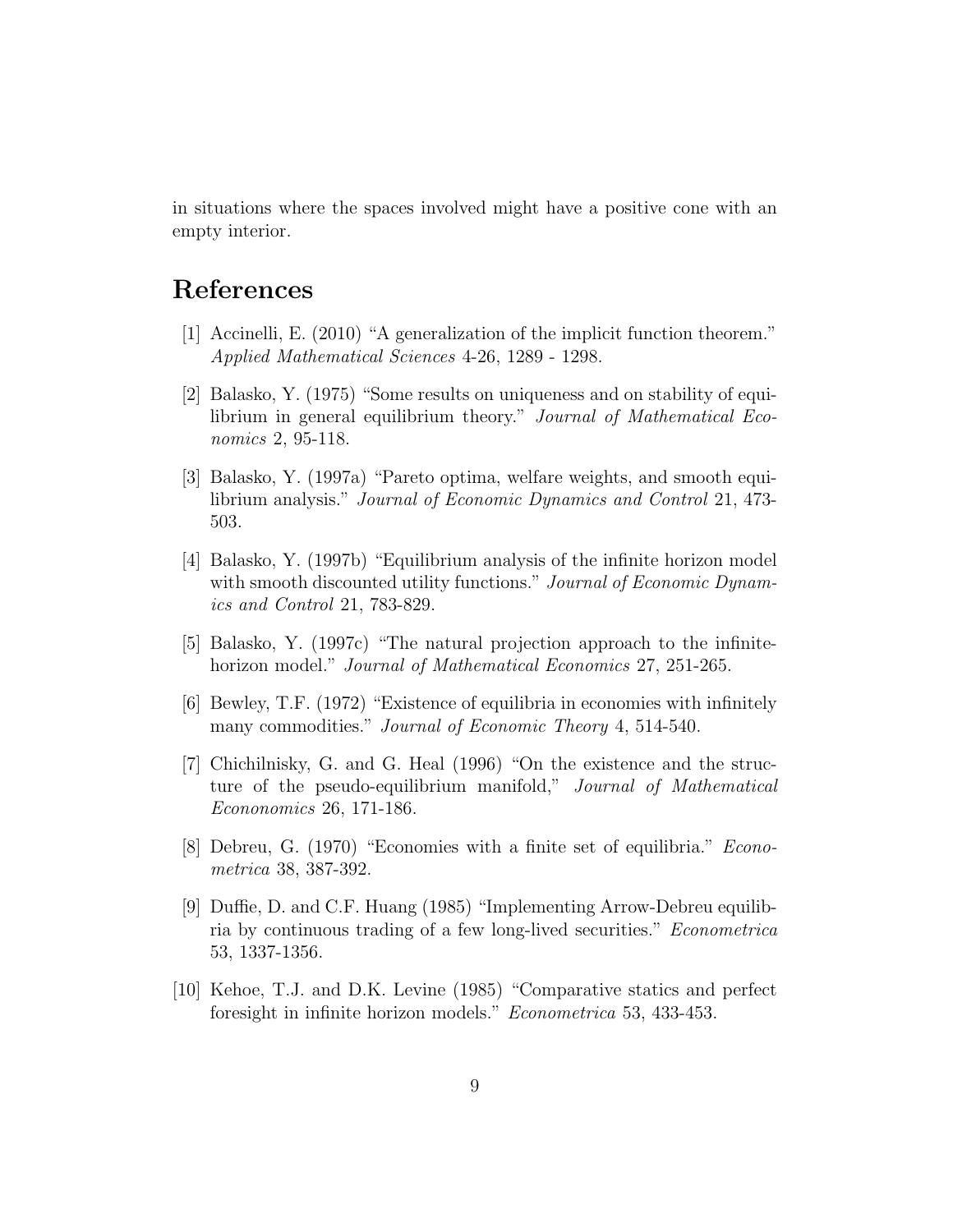in situations where the spaces involved might have a positive cone with an empty interior.

# References

- [1] Accinelli, E. (2010) "A generalization of the implicit function theorem." Applied Mathematical Sciences 4-26, 1289 - 1298.
- [2] Balasko, Y. (1975) "Some results on uniqueness and on stability of equilibrium in general equilibrium theory." Journal of Mathematical Economics 2, 95-118.
- [3] Balasko, Y. (1997a) "Pareto optima, welfare weights, and smooth equilibrium analysis." Journal of Economic Dynamics and Control 21, 473- 503.
- [4] Balasko, Y. (1997b) "Equilibrium analysis of the infinite horizon model with smooth discounted utility functions." Journal of Economic Dynamics and Control 21, 783-829.
- [5] Balasko, Y. (1997c) "The natural projection approach to the infinitehorizon model." Journal of Mathematical Economics 27, 251-265.
- [6] Bewley, T.F. (1972) "Existence of equilibria in economies with infinitely many commodities." *Journal of Economic Theory* 4, 514-540.
- [7] Chichilnisky, G. and G. Heal (1996) "On the existence and the structure of the pseudo-equilibrium manifold," Journal of Mathematical Econonomics 26, 171-186.
- [8] Debreu, G. (1970) "Economies with a finite set of equilibria." Econometrica 38, 387-392.
- [9] Duffie, D. and C.F. Huang (1985) "Implementing Arrow-Debreu equilibria by continuous trading of a few long-lived securities." Econometrica 53, 1337-1356.
- [10] Kehoe, T.J. and D.K. Levine (1985) "Comparative statics and perfect foresight in infinite horizon models." Econometrica 53, 433-453.